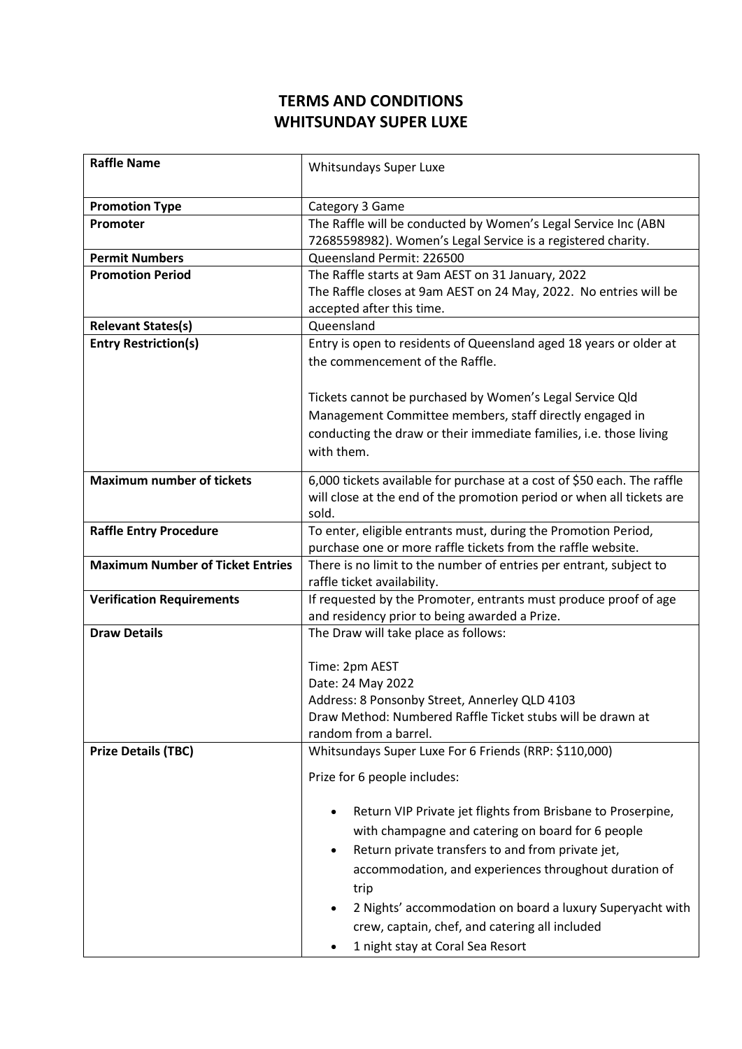## **TERMS AND CONDITIONS WHITSUNDAY SUPER LUXE**

| <b>Raffle Name</b>                      | Whitsundays Super Luxe                                                                                                         |
|-----------------------------------------|--------------------------------------------------------------------------------------------------------------------------------|
|                                         |                                                                                                                                |
| <b>Promotion Type</b>                   | Category 3 Game                                                                                                                |
| Promoter                                | The Raffle will be conducted by Women's Legal Service Inc (ABN<br>72685598982). Women's Legal Service is a registered charity. |
| <b>Permit Numbers</b>                   | Queensland Permit: 226500                                                                                                      |
| <b>Promotion Period</b>                 | The Raffle starts at 9am AEST on 31 January, 2022                                                                              |
|                                         | The Raffle closes at 9am AEST on 24 May, 2022. No entries will be<br>accepted after this time.                                 |
| <b>Relevant States(s)</b>               | Queensland                                                                                                                     |
| <b>Entry Restriction(s)</b>             | Entry is open to residents of Queensland aged 18 years or older at                                                             |
|                                         | the commencement of the Raffle.                                                                                                |
|                                         |                                                                                                                                |
|                                         | Tickets cannot be purchased by Women's Legal Service Qld                                                                       |
|                                         | Management Committee members, staff directly engaged in                                                                        |
|                                         | conducting the draw or their immediate families, i.e. those living                                                             |
|                                         | with them.                                                                                                                     |
|                                         |                                                                                                                                |
| <b>Maximum number of tickets</b>        | 6,000 tickets available for purchase at a cost of \$50 each. The raffle                                                        |
|                                         | will close at the end of the promotion period or when all tickets are                                                          |
|                                         | sold.                                                                                                                          |
| <b>Raffle Entry Procedure</b>           | To enter, eligible entrants must, during the Promotion Period,<br>purchase one or more raffle tickets from the raffle website. |
| <b>Maximum Number of Ticket Entries</b> | There is no limit to the number of entries per entrant, subject to                                                             |
|                                         | raffle ticket availability.                                                                                                    |
| <b>Verification Requirements</b>        | If requested by the Promoter, entrants must produce proof of age                                                               |
|                                         | and residency prior to being awarded a Prize.                                                                                  |
| <b>Draw Details</b>                     | The Draw will take place as follows:                                                                                           |
|                                         | Time: 2pm AEST                                                                                                                 |
|                                         | Date: 24 May 2022                                                                                                              |
|                                         | Address: 8 Ponsonby Street, Annerley QLD 4103                                                                                  |
|                                         | Draw Method: Numbered Raffle Ticket stubs will be drawn at                                                                     |
|                                         | random from a barrel.                                                                                                          |
| <b>Prize Details (TBC)</b>              | Whitsundays Super Luxe For 6 Friends (RRP: \$110,000)                                                                          |
|                                         | Prize for 6 people includes:                                                                                                   |
|                                         |                                                                                                                                |
|                                         | Return VIP Private jet flights from Brisbane to Proserpine,<br>$\bullet$                                                       |
|                                         | with champagne and catering on board for 6 people                                                                              |
|                                         | Return private transfers to and from private jet,<br>$\bullet$                                                                 |
|                                         | accommodation, and experiences throughout duration of                                                                          |
|                                         | trip                                                                                                                           |
|                                         | 2 Nights' accommodation on board a luxury Superyacht with                                                                      |
|                                         | crew, captain, chef, and catering all included                                                                                 |
|                                         |                                                                                                                                |
|                                         | 1 night stay at Coral Sea Resort                                                                                               |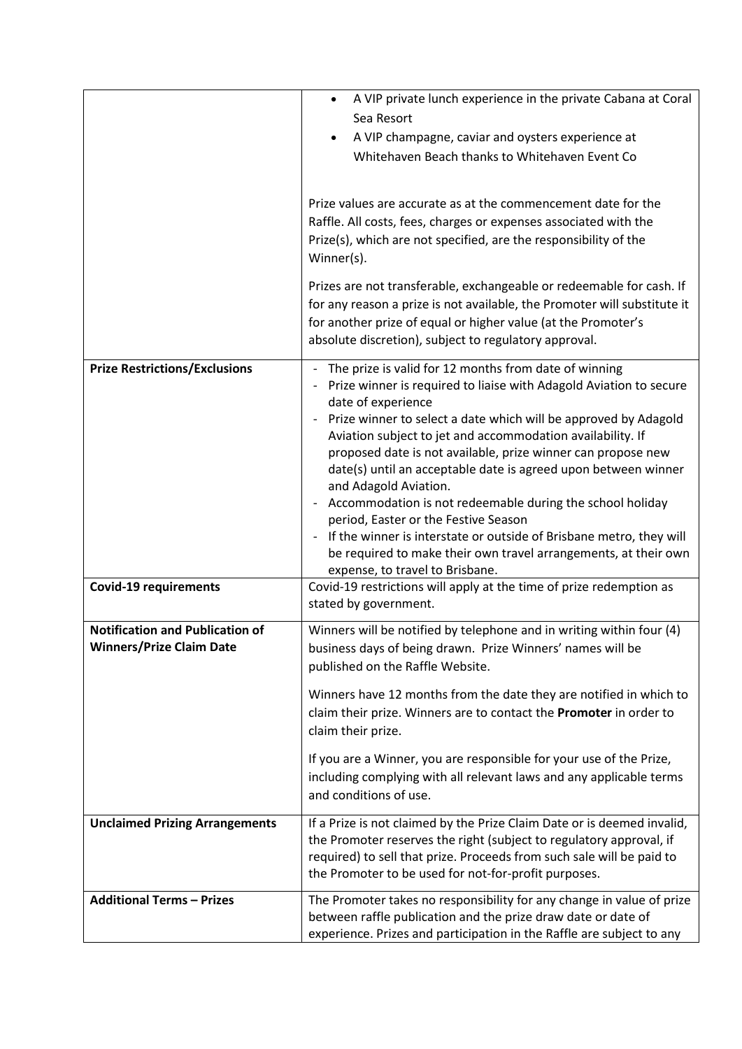|                                        | A VIP private lunch experience in the private Cabana at Coral<br>$\bullet$<br>Sea Resort                                                                                                                                                                                                                                                                                                                                                                                                          |
|----------------------------------------|---------------------------------------------------------------------------------------------------------------------------------------------------------------------------------------------------------------------------------------------------------------------------------------------------------------------------------------------------------------------------------------------------------------------------------------------------------------------------------------------------|
|                                        |                                                                                                                                                                                                                                                                                                                                                                                                                                                                                                   |
|                                        | A VIP champagne, caviar and oysters experience at<br>$\bullet$                                                                                                                                                                                                                                                                                                                                                                                                                                    |
|                                        | Whitehaven Beach thanks to Whitehaven Event Co                                                                                                                                                                                                                                                                                                                                                                                                                                                    |
|                                        | Prize values are accurate as at the commencement date for the<br>Raffle. All costs, fees, charges or expenses associated with the<br>Prize(s), which are not specified, are the responsibility of the<br>Winner(s).<br>Prizes are not transferable, exchangeable or redeemable for cash. If<br>for any reason a prize is not available, the Promoter will substitute it<br>for another prize of equal or higher value (at the Promoter's<br>absolute discretion), subject to regulatory approval. |
| <b>Prize Restrictions/Exclusions</b>   | The prize is valid for 12 months from date of winning<br>$\overline{\phantom{0}}$                                                                                                                                                                                                                                                                                                                                                                                                                 |
|                                        | Prize winner is required to liaise with Adagold Aviation to secure                                                                                                                                                                                                                                                                                                                                                                                                                                |
|                                        | date of experience<br>Prize winner to select a date which will be approved by Adagold<br>$\overline{\phantom{a}}$<br>Aviation subject to jet and accommodation availability. If<br>proposed date is not available, prize winner can propose new<br>date(s) until an acceptable date is agreed upon between winner                                                                                                                                                                                 |
|                                        | and Adagold Aviation.                                                                                                                                                                                                                                                                                                                                                                                                                                                                             |
|                                        | Accommodation is not redeemable during the school holiday<br>$\overline{\phantom{a}}$<br>period, Easter or the Festive Season                                                                                                                                                                                                                                                                                                                                                                     |
|                                        | If the winner is interstate or outside of Brisbane metro, they will<br>$\overline{\phantom{a}}$                                                                                                                                                                                                                                                                                                                                                                                                   |
|                                        | be required to make their own travel arrangements, at their own<br>expense, to travel to Brisbane.                                                                                                                                                                                                                                                                                                                                                                                                |
| <b>Covid-19 requirements</b>           | Covid-19 restrictions will apply at the time of prize redemption as<br>stated by government.                                                                                                                                                                                                                                                                                                                                                                                                      |
| <b>Notification and Publication of</b> | Winners will be notified by telephone and in writing within four (4)                                                                                                                                                                                                                                                                                                                                                                                                                              |
| <b>Winners/Prize Claim Date</b>        | business days of being drawn. Prize Winners' names will be<br>published on the Raffle Website.                                                                                                                                                                                                                                                                                                                                                                                                    |
|                                        | Winners have 12 months from the date they are notified in which to<br>claim their prize. Winners are to contact the Promoter in order to<br>claim their prize.                                                                                                                                                                                                                                                                                                                                    |
|                                        | If you are a Winner, you are responsible for your use of the Prize,<br>including complying with all relevant laws and any applicable terms<br>and conditions of use.                                                                                                                                                                                                                                                                                                                              |
| <b>Unclaimed Prizing Arrangements</b>  | If a Prize is not claimed by the Prize Claim Date or is deemed invalid,<br>the Promoter reserves the right (subject to regulatory approval, if<br>required) to sell that prize. Proceeds from such sale will be paid to<br>the Promoter to be used for not-for-profit purposes.                                                                                                                                                                                                                   |
| <b>Additional Terms - Prizes</b>       | The Promoter takes no responsibility for any change in value of prize                                                                                                                                                                                                                                                                                                                                                                                                                             |
|                                        | between raffle publication and the prize draw date or date of<br>experience. Prizes and participation in the Raffle are subject to any                                                                                                                                                                                                                                                                                                                                                            |